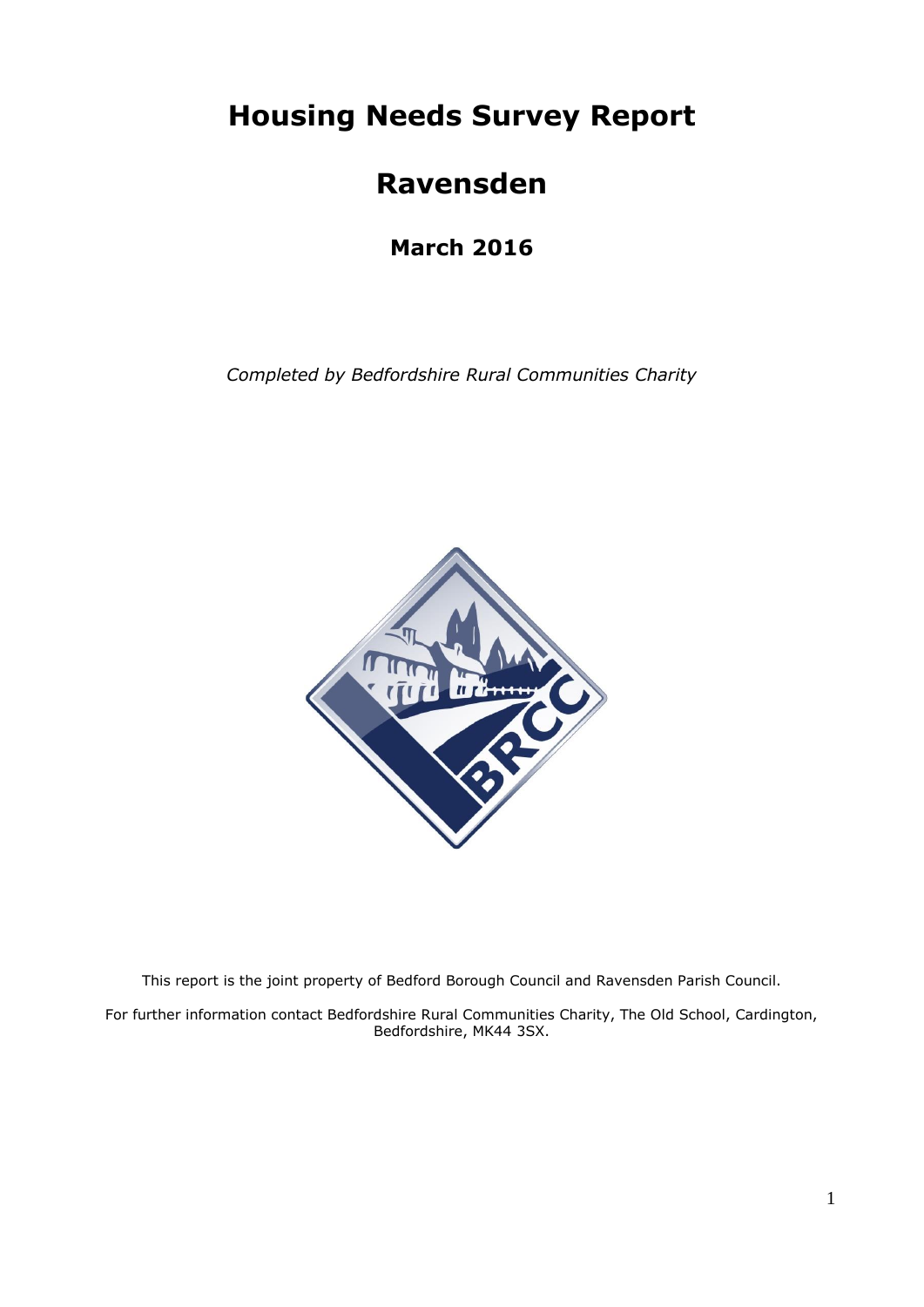**Housing Needs Survey Report**

# **Ravensden**

**March 2016**

*Completed by Bedfordshire Rural Communities Charity*



This report is the joint property of Bedford Borough Council and Ravensden Parish Council.

For further information contact Bedfordshire Rural Communities Charity, The Old School, Cardington, Bedfordshire, MK44 3SX.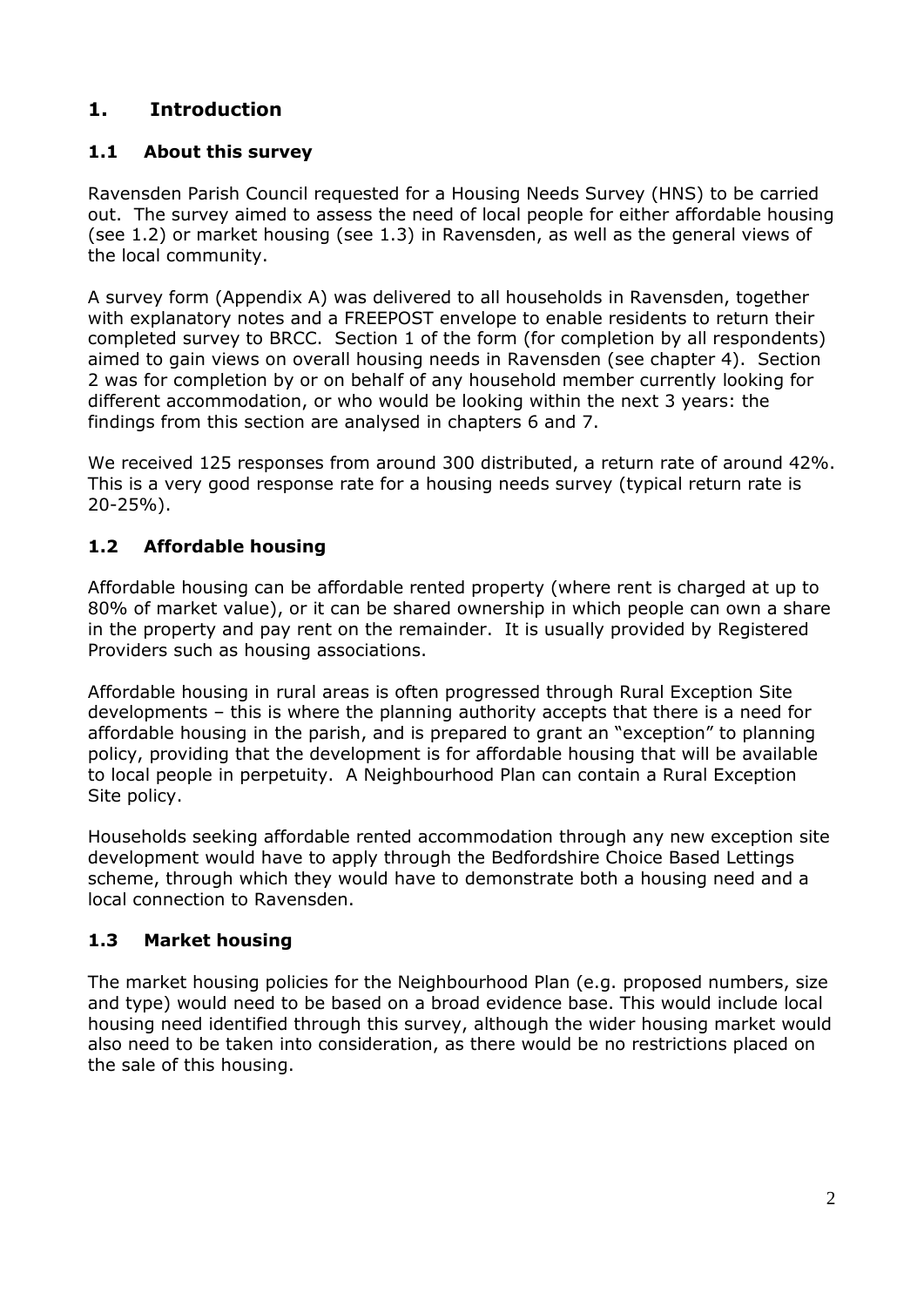# **1. Introduction**

## **1.1 About this survey**

Ravensden Parish Council requested for a Housing Needs Survey (HNS) to be carried out. The survey aimed to assess the need of local people for either affordable housing (see 1.2) or market housing (see 1.3) in Ravensden, as well as the general views of the local community.

A survey form (Appendix A) was delivered to all households in Ravensden, together with explanatory notes and a FREEPOST envelope to enable residents to return their completed survey to BRCC. Section 1 of the form (for completion by all respondents) aimed to gain views on overall housing needs in Ravensden (see chapter 4). Section 2 was for completion by or on behalf of any household member currently looking for different accommodation, or who would be looking within the next 3 years: the findings from this section are analysed in chapters 6 and 7.

We received 125 responses from around 300 distributed, a return rate of around 42%. This is a very good response rate for a housing needs survey (typical return rate is 20-25%).

## **1.2 Affordable housing**

Affordable housing can be affordable rented property (where rent is charged at up to 80% of market value), or it can be shared ownership in which people can own a share in the property and pay rent on the remainder. It is usually provided by Registered Providers such as housing associations.

Affordable housing in rural areas is often progressed through Rural Exception Site developments – this is where the planning authority accepts that there is a need for affordable housing in the parish, and is prepared to grant an "exception" to planning policy, providing that the development is for affordable housing that will be available to local people in perpetuity. A Neighbourhood Plan can contain a Rural Exception Site policy.

Households seeking affordable rented accommodation through any new exception site development would have to apply through the Bedfordshire Choice Based Lettings scheme, through which they would have to demonstrate both a housing need and a local connection to Ravensden.

## **1.3 Market housing**

The market housing policies for the Neighbourhood Plan (e.g. proposed numbers, size and type) would need to be based on a broad evidence base. This would include local housing need identified through this survey, although the wider housing market would also need to be taken into consideration, as there would be no restrictions placed on the sale of this housing.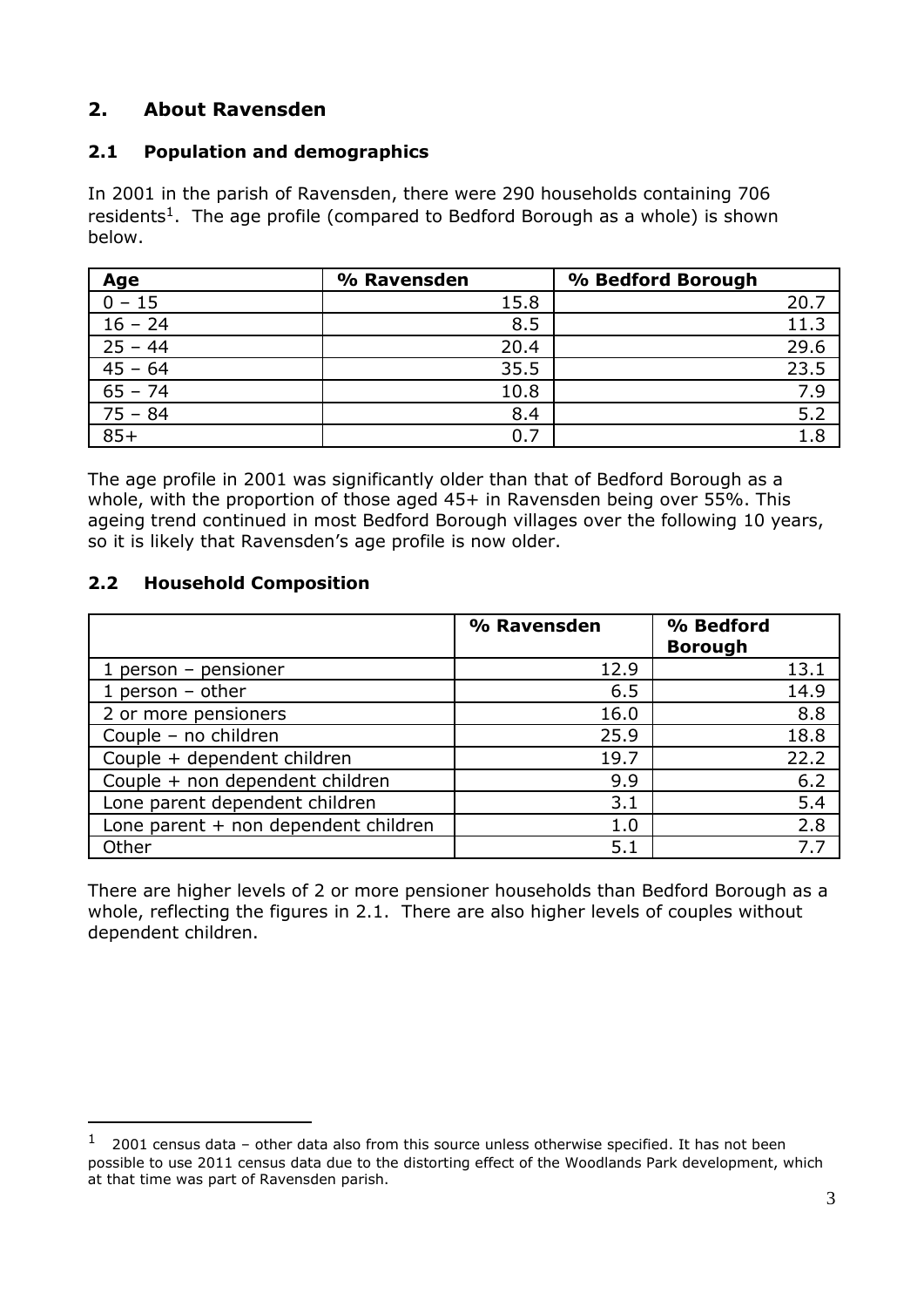# **2. About Ravensden**

## **2.1 Population and demographics**

In 2001 in the parish of Ravensden, there were 290 households containing 706 residents<sup>1</sup>. The age profile (compared to Bedford Borough as a whole) is shown below.

| Age       | % Ravensden | % Bedford Borough |
|-----------|-------------|-------------------|
| $0 - 15$  | 15.8        | 20.7              |
| $16 - 24$ | 8.5         | 11.3              |
| $25 - 44$ | 20.4        | 29.6              |
| $45 - 64$ | 35.5        | 23.5              |
| $65 - 74$ | 10.8        | 7.9               |
| $75 - 84$ | 8.4         | 5.2               |
| $85+$     | 0.7         | 1.8               |

The age profile in 2001 was significantly older than that of Bedford Borough as a whole, with the proportion of those aged 45+ in Ravensden being over 55%. This ageing trend continued in most Bedford Borough villages over the following 10 years, so it is likely that Ravensden's age profile is now older.

## **2.2 Household Composition**

1

|                                      | % Ravensden | % Bedford<br><b>Borough</b> |
|--------------------------------------|-------------|-----------------------------|
| $1$ person – pensioner               | 12.9        | 13.1                        |
| 1 person $-$ other                   | 6.5         | 14.9                        |
| 2 or more pensioners                 | 16.0        | 8.8                         |
| Couple - no children                 | 25.9        | 18.8                        |
| Couple + dependent children          | 19.7        | 22.2                        |
| Couple + non dependent children      | 9.9         | 6.2                         |
| Lone parent dependent children       | 3.1         | 5.4                         |
| Lone parent + non dependent children | 1.0         | 2.8                         |
| Other                                | 5.1         | 7.7                         |

There are higher levels of 2 or more pensioner households than Bedford Borough as a whole, reflecting the figures in 2.1. There are also higher levels of couples without dependent children.

 $1$  2001 census data – other data also from this source unless otherwise specified. It has not been possible to use 2011 census data due to the distorting effect of the Woodlands Park development, which at that time was part of Ravensden parish.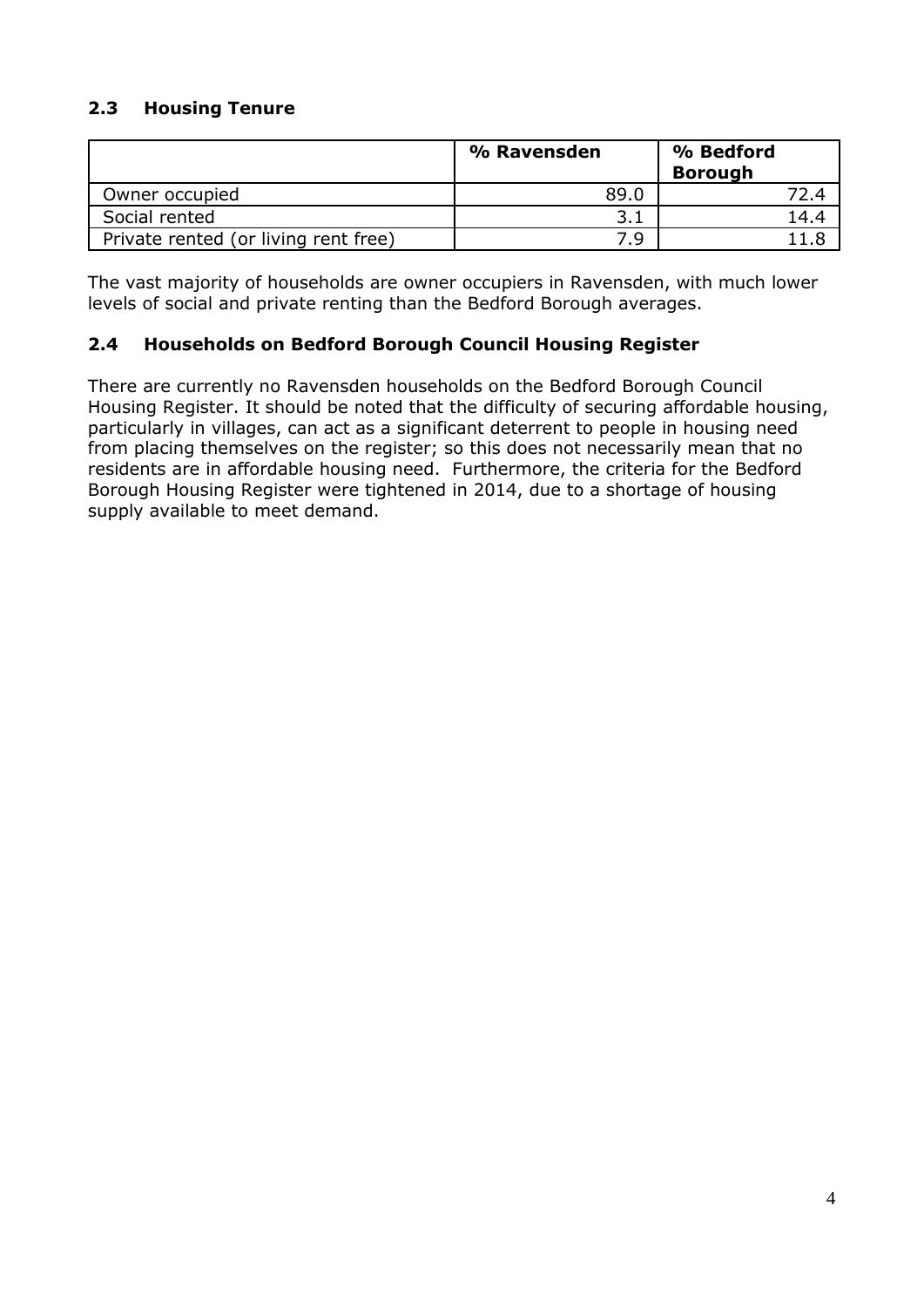## **2.3 Housing Tenure**

|                                      | % Ravensden | % Bedford<br><b>Borough</b> |
|--------------------------------------|-------------|-----------------------------|
| Owner occupied                       | 89.0        | 72.4                        |
| Social rented                        |             | 14.4                        |
| Private rented (or living rent free) | 7.9         |                             |

The vast majority of households are owner occupiers in Ravensden, with much lower levels of social and private renting than the Bedford Borough averages.

## **2.4 Households on Bedford Borough Council Housing Register**

There are currently no Ravensden households on the Bedford Borough Council Housing Register. It should be noted that the difficulty of securing affordable housing, particularly in villages, can act as a significant deterrent to people in housing need from placing themselves on the register; so this does not necessarily mean that no residents are in affordable housing need. Furthermore, the criteria for the Bedford Borough Housing Register were tightened in 2014, due to a shortage of housing supply available to meet demand.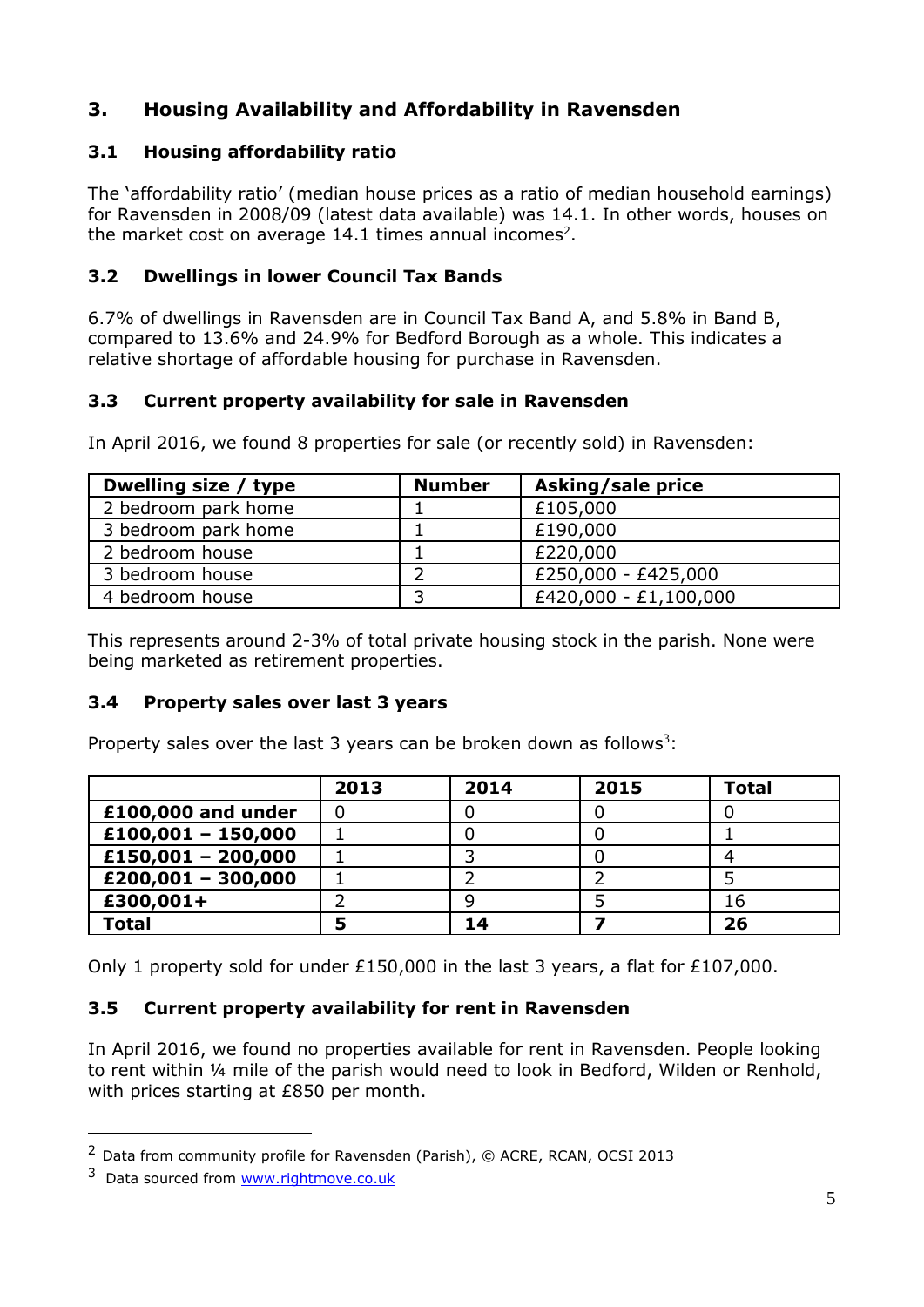# **3. Housing Availability and Affordability in Ravensden**

## **3.1 Housing affordability ratio**

The 'affordability ratio' (median house prices as a ratio of median household earnings) for Ravensden in 2008/09 (latest data available) was 14.1. In other words, houses on the market cost on average 14.1 times annual incomes<sup>2</sup>.

## **3.2 Dwellings in lower Council Tax Bands**

6.7% of dwellings in Ravensden are in Council Tax Band A, and 5.8% in Band B, compared to 13.6% and 24.9% for Bedford Borough as a whole. This indicates a relative shortage of affordable housing for purchase in Ravensden.

## **3.3 Current property availability for sale in Ravensden**

In April 2016, we found 8 properties for sale (or recently sold) in Ravensden:

| Dwelling size / type | <b>Number</b> | Asking/sale price     |
|----------------------|---------------|-----------------------|
| 2 bedroom park home  |               | £105,000              |
| 3 bedroom park home  |               | £190,000              |
| 2 bedroom house      |               | £220,000              |
| 3 bedroom house      |               | £250,000 - £425,000   |
| 4 bedroom house      |               | £420,000 - £1,100,000 |

This represents around 2-3% of total private housing stock in the parish. None were being marketed as retirement properties.

## **3.4 Property sales over last 3 years**

Property sales over the last 3 years can be broken down as follows<sup>3</sup>:

|                      | 2013 | 2014 | 2015 | <b>Total</b> |
|----------------------|------|------|------|--------------|
| £100,000 and under   |      |      |      |              |
| $£100,001 - 150,000$ |      |      |      |              |
| $£150,001 - 200,000$ |      |      |      |              |
| $£200,001 - 300,000$ |      |      |      |              |
| £300,001+            |      |      |      | 16           |
| <b>Total</b>         |      | 14   |      | 26           |

Only 1 property sold for under £150,000 in the last 3 years, a flat for £107,000.

## **3.5 Current property availability for rent in Ravensden**

In April 2016, we found no properties available for rent in Ravensden. People looking to rent within ¼ mile of the parish would need to look in Bedford, Wilden or Renhold, with prices starting at £850 per month.

1

<sup>2</sup> Data from community profile for Ravensden (Parish), © ACRE, RCAN, OCSI 2013

 $3$  Data sourced from [www.rightmove.co.uk](http://www.rightmove.co.uk/)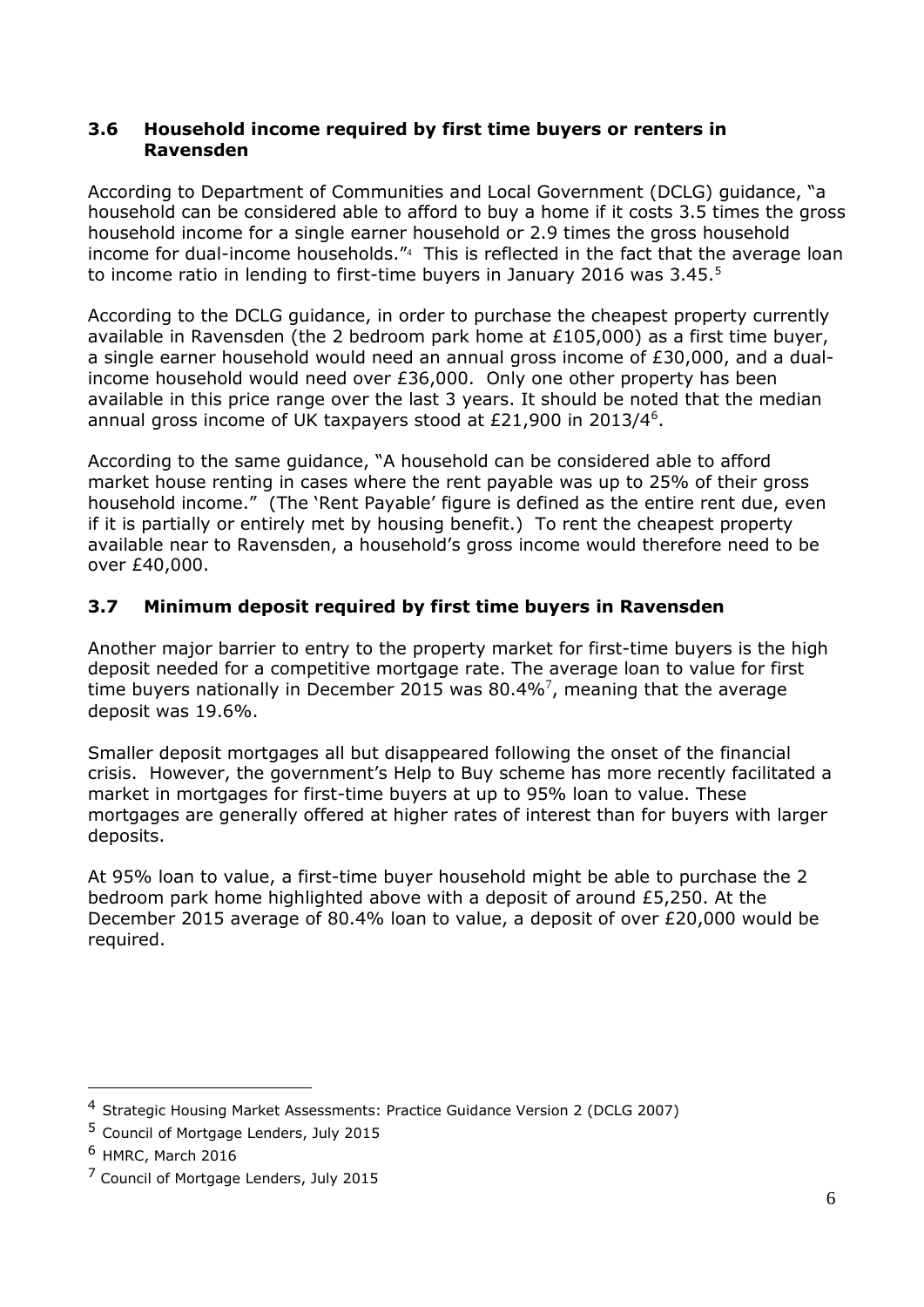#### **3.6 Household income required by first time buyers or renters in Ravensden**

According to Department of Communities and Local Government (DCLG) guidance, "a household can be considered able to afford to buy a home if it costs 3.5 times the gross household income for a single earner household or 2.9 times the gross household income for dual-income households."<sup>4</sup> This is reflected in the fact that the average loan to income ratio in lending to first-time buyers in January 2016 was 3.45.<sup>5</sup>

According to the DCLG guidance, in order to purchase the cheapest property currently available in Ravensden (the 2 bedroom park home at £105,000) as a first time buyer, a single earner household would need an annual gross income of £30,000, and a dualincome household would need over £36,000. Only one other property has been available in this price range over the last 3 years. It should be noted that the median annual gross income of UK taxpayers stood at £21,900 in 2013/4<sup>6</sup>.

According to the same guidance, "A household can be considered able to afford market house renting in cases where the rent payable was up to 25% of their gross household income." (The 'Rent Payable' figure is defined as the entire rent due, even if it is partially or entirely met by housing benefit.) To rent the cheapest property available near to Ravensden, a household's gross income would therefore need to be over £40,000.

## **3.7 Minimum deposit required by first time buyers in Ravensden**

Another major barrier to entry to the property market for first-time buyers is the high deposit needed for a competitive mortgage rate. The average loan to value for first time buyers nationally in December 2015 was 80.4%<sup>7</sup>, meaning that the average deposit was 19.6%.

Smaller deposit mortgages all but disappeared following the onset of the financial crisis. However, the government's Help to Buy scheme has more recently facilitated a market in mortgages for first-time buyers at up to 95% loan to value. These mortgages are generally offered at higher rates of interest than for buyers with larger deposits.

At 95% loan to value, a first-time buyer household might be able to purchase the 2 bedroom park home highlighted above with a deposit of around £5,250. At the December 2015 average of 80.4% loan to value, a deposit of over £20,000 would be required.

1

<sup>4</sup> Strategic Housing Market Assessments: Practice Guidance Version 2 (DCLG 2007)

<sup>5</sup> Council of Mortgage Lenders, July 2015

 $6$  HMRC, March 2016

<sup>&</sup>lt;sup>7</sup> Council of Mortgage Lenders, July 2015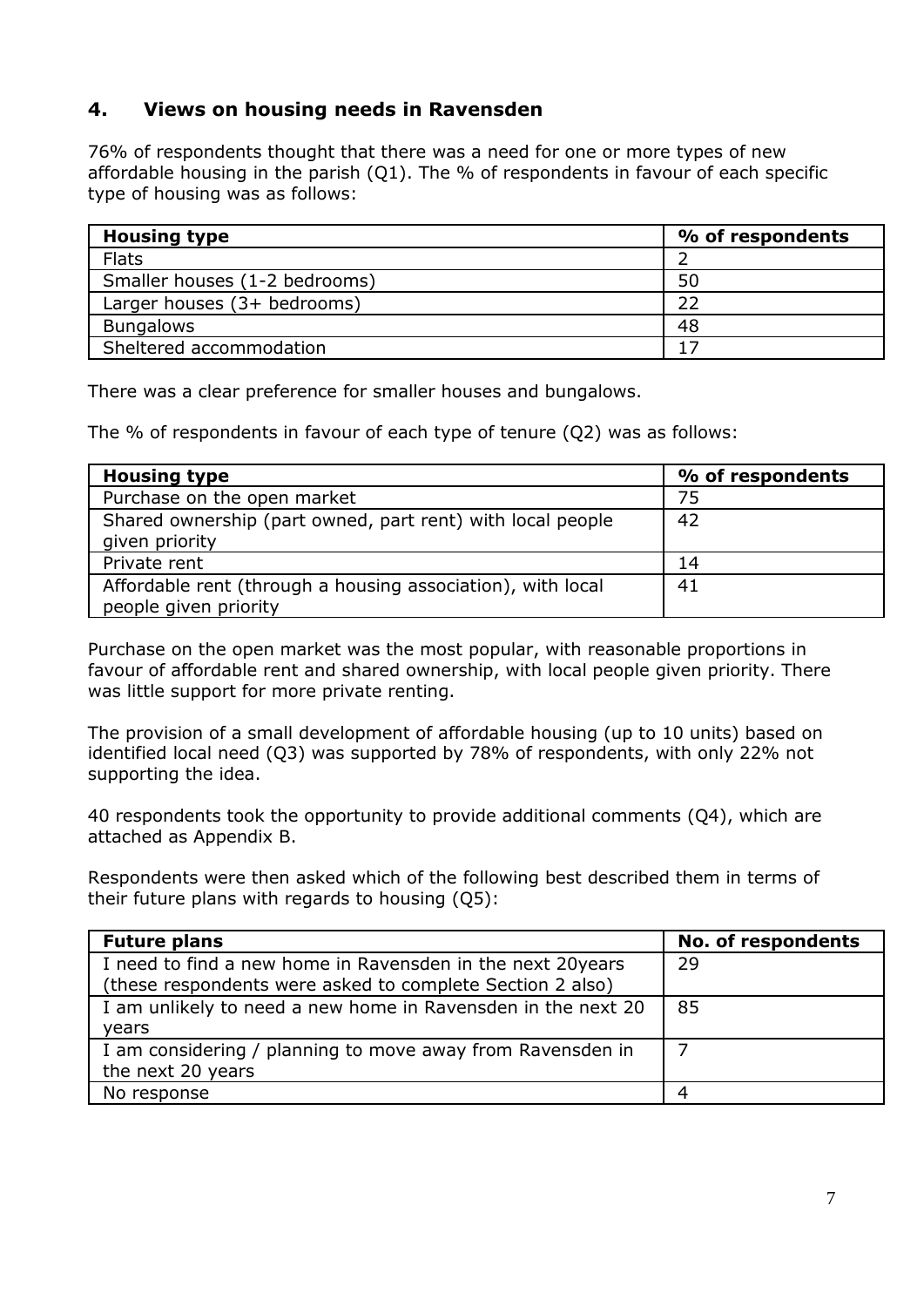## **4. Views on housing needs in Ravensden**

76% of respondents thought that there was a need for one or more types of new affordable housing in the parish (Q1). The % of respondents in favour of each specific type of housing was as follows:

| <b>Housing type</b>           | % of respondents |
|-------------------------------|------------------|
| <b>Flats</b>                  |                  |
| Smaller houses (1-2 bedrooms) | 50               |
| Larger houses (3+ bedrooms)   | フフ               |
| <b>Bungalows</b>              | 48               |
| Sheltered accommodation       |                  |

There was a clear preference for smaller houses and bungalows.

The % of respondents in favour of each type of tenure (Q2) was as follows:

| <b>Housing type</b>                                         | % of respondents |
|-------------------------------------------------------------|------------------|
| Purchase on the open market                                 | 75               |
| Shared ownership (part owned, part rent) with local people  | 42               |
| given priority                                              |                  |
| Private rent                                                | 14               |
| Affordable rent (through a housing association), with local | 41               |
| people given priority                                       |                  |

Purchase on the open market was the most popular, with reasonable proportions in favour of affordable rent and shared ownership, with local people given priority. There was little support for more private renting.

The provision of a small development of affordable housing (up to 10 units) based on identified local need (Q3) was supported by 78% of respondents, with only 22% not supporting the idea.

40 respondents took the opportunity to provide additional comments (Q4), which are attached as Appendix B.

Respondents were then asked which of the following best described them in terms of their future plans with regards to housing (Q5):

| <b>Future plans</b>                                          | No. of respondents |
|--------------------------------------------------------------|--------------------|
| I need to find a new home in Ravensden in the next 20years   | 29                 |
| (these respondents were asked to complete Section 2 also)    |                    |
| I am unlikely to need a new home in Ravensden in the next 20 | 85                 |
| years                                                        |                    |
| I am considering / planning to move away from Ravensden in   |                    |
| the next 20 years                                            |                    |
| No response                                                  |                    |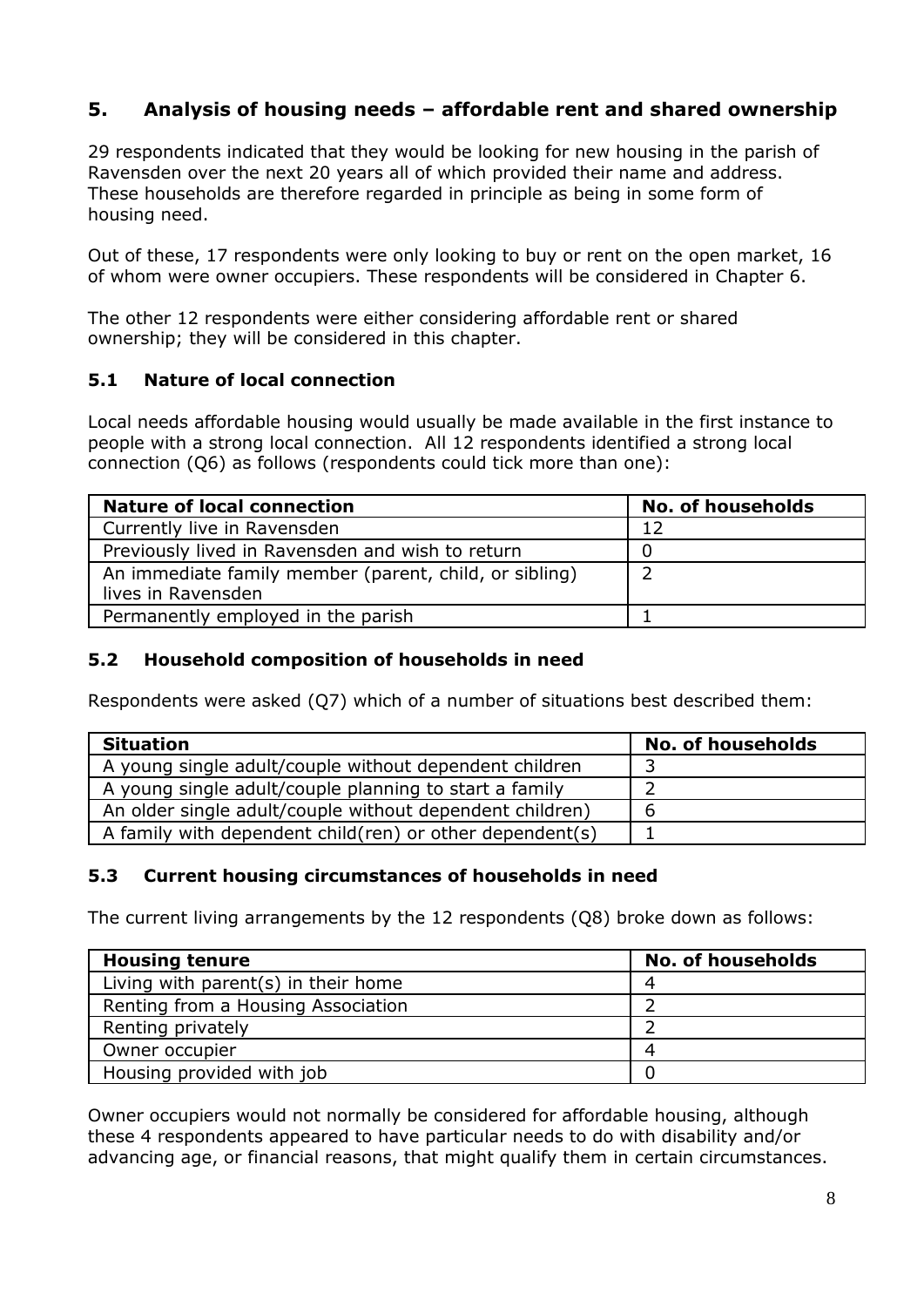# **5. Analysis of housing needs – affordable rent and shared ownership**

29 respondents indicated that they would be looking for new housing in the parish of Ravensden over the next 20 years all of which provided their name and address. These households are therefore regarded in principle as being in some form of housing need.

Out of these, 17 respondents were only looking to buy or rent on the open market, 16 of whom were owner occupiers. These respondents will be considered in Chapter 6.

The other 12 respondents were either considering affordable rent or shared ownership; they will be considered in this chapter.

## **5.1 Nature of local connection**

Local needs affordable housing would usually be made available in the first instance to people with a strong local connection. All 12 respondents identified a strong local connection (Q6) as follows (respondents could tick more than one):

| <b>Nature of local connection</b>                      | <b>No. of households</b> |
|--------------------------------------------------------|--------------------------|
| Currently live in Ravensden                            | 12                       |
| Previously lived in Ravensden and wish to return       |                          |
| An immediate family member (parent, child, or sibling) |                          |
| lives in Ravensden                                     |                          |
| Permanently employed in the parish                     |                          |

#### **5.2 Household composition of households in need**

Respondents were asked (Q7) which of a number of situations best described them:

| <b>Situation</b>                                           | <b>No. of households</b> |
|------------------------------------------------------------|--------------------------|
| A young single adult/couple without dependent children     |                          |
| A young single adult/couple planning to start a family     |                          |
| An older single adult/couple without dependent children)   | b                        |
| A family with dependent child (ren) or other dependent (s) |                          |

#### **5.3 Current housing circumstances of households in need**

The current living arrangements by the 12 respondents (Q8) broke down as follows:

| <b>Housing tenure</b>               | <b>No. of households</b> |
|-------------------------------------|--------------------------|
| Living with parent(s) in their home |                          |
| Renting from a Housing Association  |                          |
| Renting privately                   |                          |
| Owner occupier                      |                          |
| Housing provided with job           |                          |

Owner occupiers would not normally be considered for affordable housing, although these 4 respondents appeared to have particular needs to do with disability and/or advancing age, or financial reasons, that might qualify them in certain circumstances.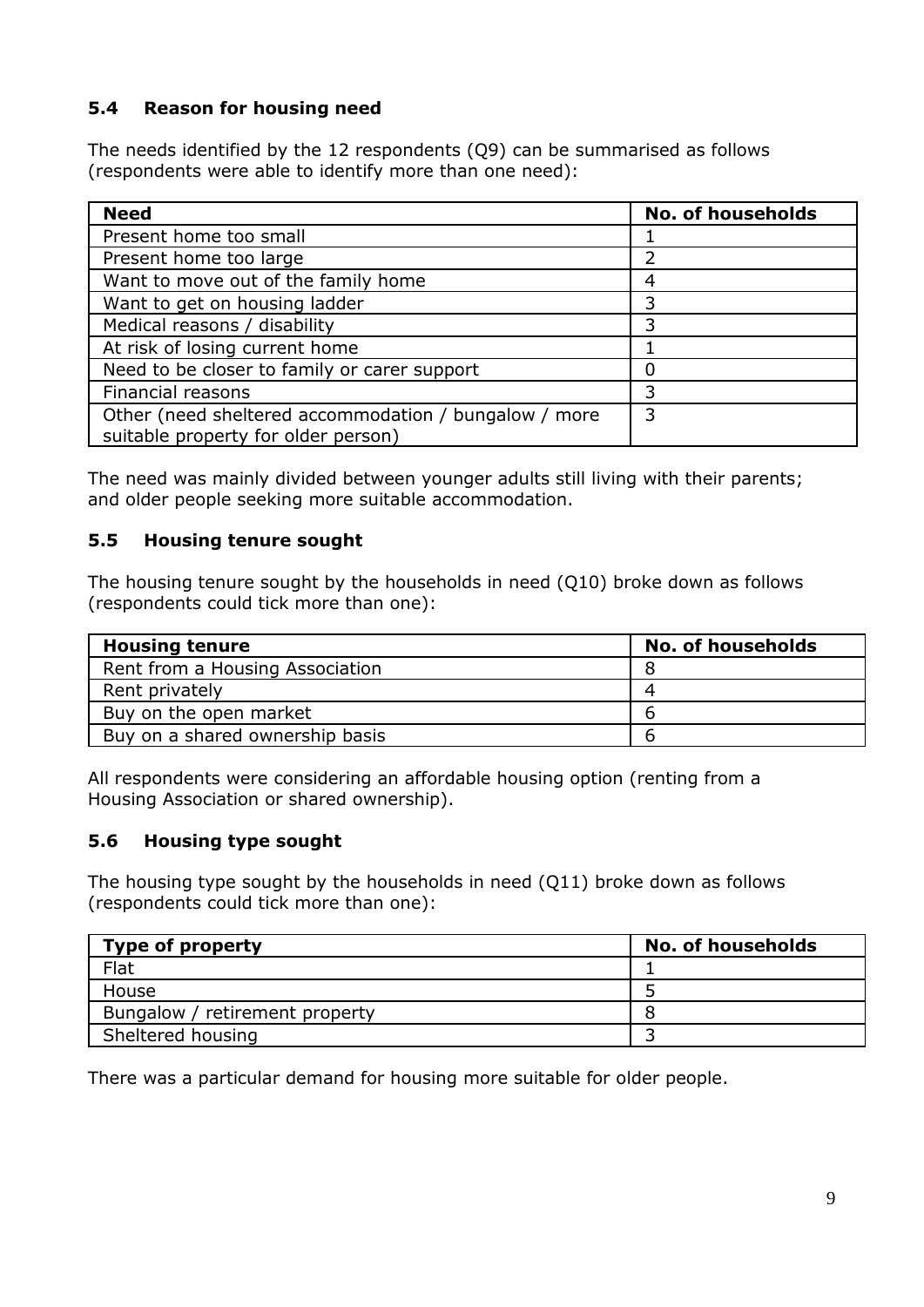## **5.4 Reason for housing need**

The needs identified by the 12 respondents (Q9) can be summarised as follows (respondents were able to identify more than one need):

| <b>Need</b>                                                                                  | <b>No. of households</b> |
|----------------------------------------------------------------------------------------------|--------------------------|
| Present home too small                                                                       |                          |
| Present home too large                                                                       |                          |
| Want to move out of the family home                                                          | Δ                        |
| Want to get on housing ladder                                                                |                          |
| Medical reasons / disability                                                                 | 3                        |
| At risk of losing current home                                                               |                          |
| Need to be closer to family or carer support                                                 | ი                        |
| Financial reasons                                                                            | 3                        |
| Other (need sheltered accommodation / bungalow / more<br>suitable property for older person) | 3                        |

The need was mainly divided between younger adults still living with their parents; and older people seeking more suitable accommodation.

#### **5.5 Housing tenure sought**

The housing tenure sought by the households in need (Q10) broke down as follows (respondents could tick more than one):

| <b>Housing tenure</b>           | <b>No. of households</b> |
|---------------------------------|--------------------------|
| Rent from a Housing Association |                          |
| Rent privately                  |                          |
| Buy on the open market          | n                        |
| Buy on a shared ownership basis | h                        |

All respondents were considering an affordable housing option (renting from a Housing Association or shared ownership).

## **5.6 Housing type sought**

The housing type sought by the households in need (Q11) broke down as follows (respondents could tick more than one):

| Type of property               | <b>No. of households</b> |
|--------------------------------|--------------------------|
| Flat                           |                          |
| House                          |                          |
| Bungalow / retirement property |                          |
| Sheltered housing              |                          |

There was a particular demand for housing more suitable for older people.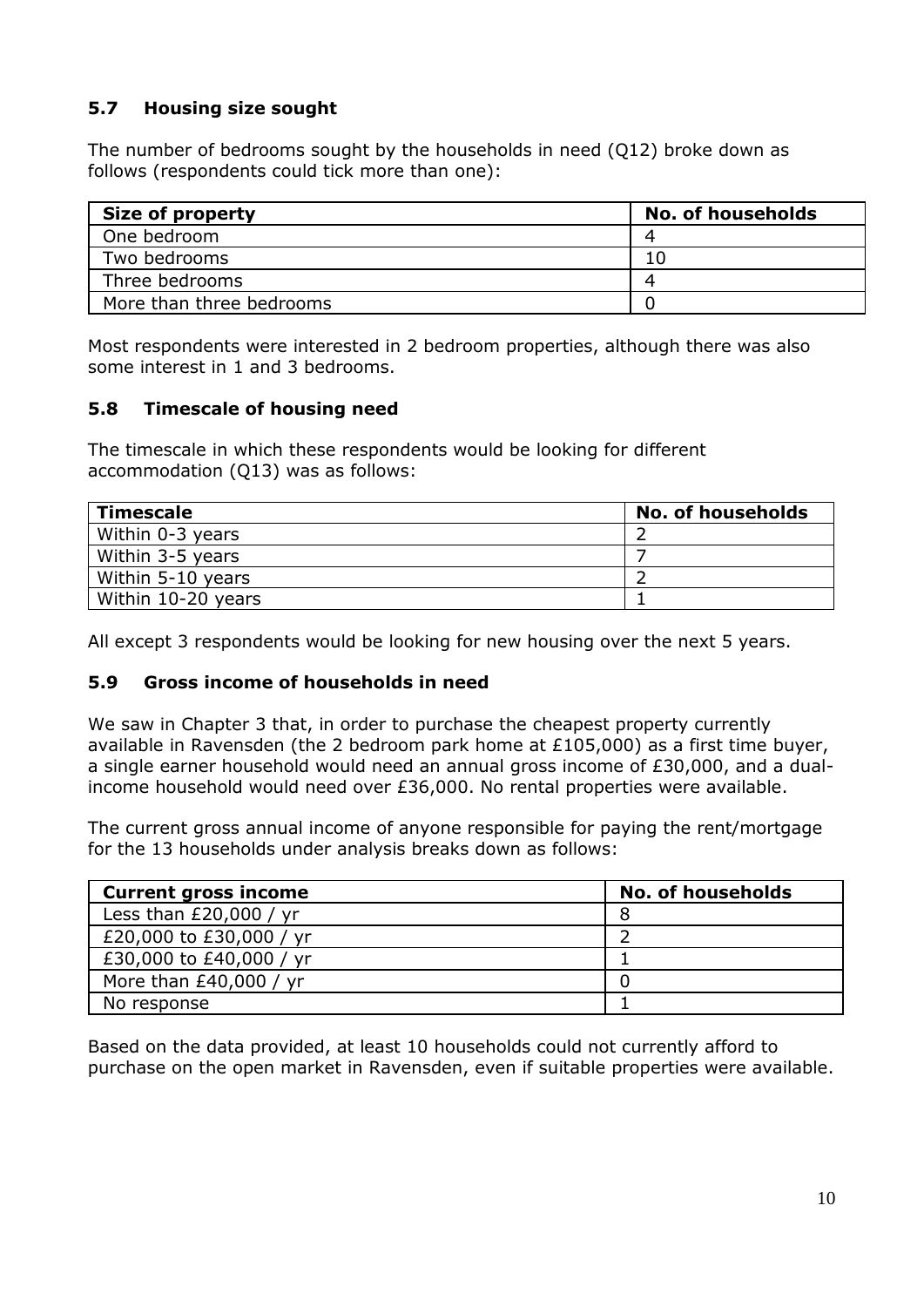## **5.7 Housing size sought**

The number of bedrooms sought by the households in need (Q12) broke down as follows (respondents could tick more than one):

| <b>Size of property</b>  | <b>No. of households</b> |
|--------------------------|--------------------------|
| One bedroom              |                          |
| Two bedrooms             |                          |
| Three bedrooms           |                          |
| More than three bedrooms |                          |

Most respondents were interested in 2 bedroom properties, although there was also some interest in 1 and 3 bedrooms.

#### **5.8 Timescale of housing need**

The timescale in which these respondents would be looking for different accommodation (Q13) was as follows:

| <b>Timescale</b>   | <b>No. of households</b> |
|--------------------|--------------------------|
| Within 0-3 years   |                          |
| Within 3-5 years   |                          |
| Within 5-10 years  |                          |
| Within 10-20 years |                          |

All except 3 respondents would be looking for new housing over the next 5 years.

#### **5.9 Gross income of households in need**

We saw in Chapter 3 that, in order to purchase the cheapest property currently available in Ravensden (the 2 bedroom park home at £105,000) as a first time buyer, a single earner household would need an annual gross income of £30,000, and a dualincome household would need over £36,000. No rental properties were available.

The current gross annual income of anyone responsible for paying the rent/mortgage for the 13 households under analysis breaks down as follows:

| <b>Current gross income</b> | <b>No. of households</b> |
|-----------------------------|--------------------------|
| Less than $£20,000 / yr$    |                          |
| £20,000 to £30,000 / yr     |                          |
| £30,000 to £40,000 / yr     |                          |
| More than $£40,000 / yr$    |                          |
| No response                 |                          |

Based on the data provided, at least 10 households could not currently afford to purchase on the open market in Ravensden, even if suitable properties were available.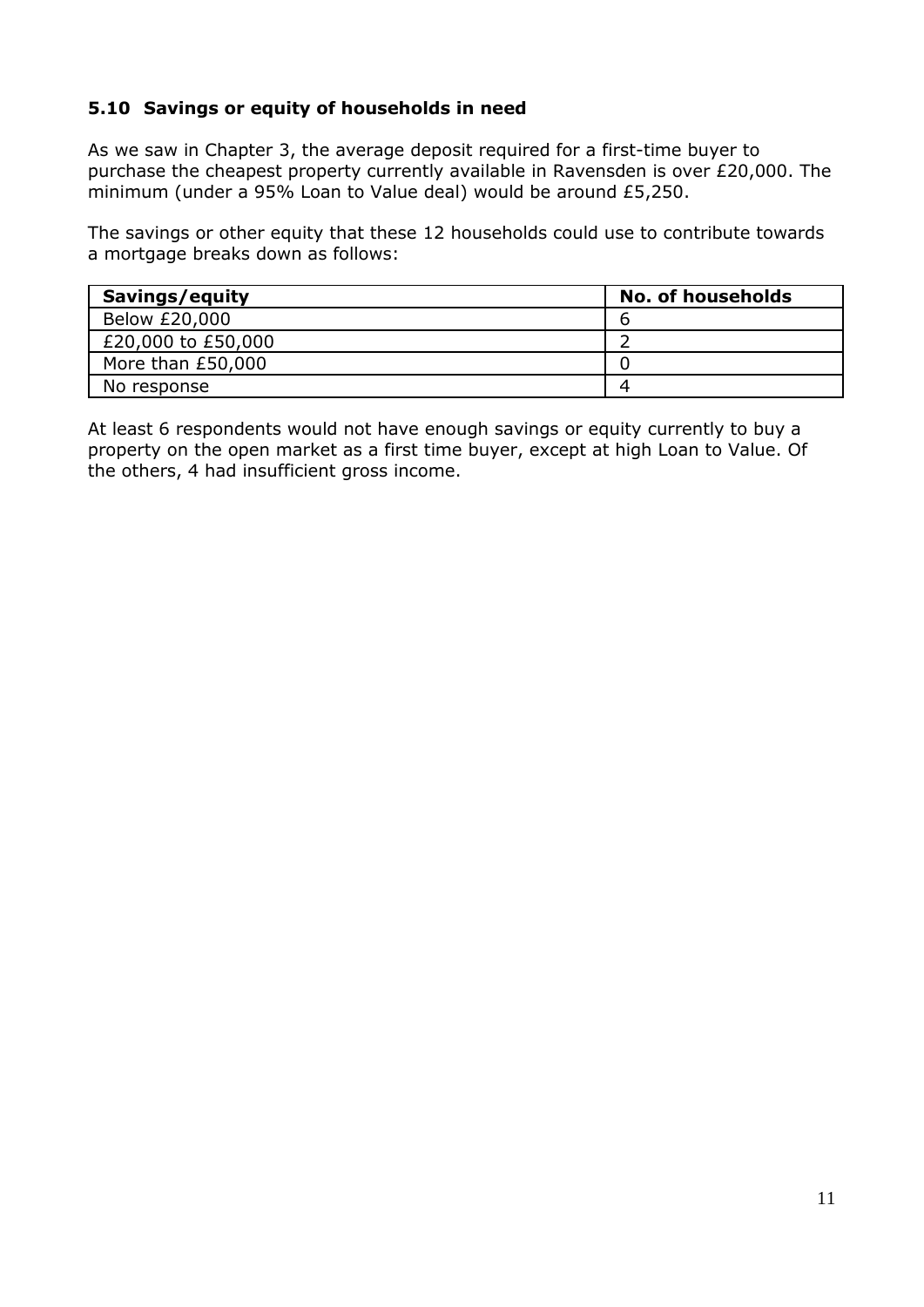## **5.10 Savings or equity of households in need**

As we saw in Chapter 3, the average deposit required for a first-time buyer to purchase the cheapest property currently available in Ravensden is over £20,000. The minimum (under a 95% Loan to Value deal) would be around £5,250.

The savings or other equity that these 12 households could use to contribute towards a mortgage breaks down as follows:

| Savings/equity     | <b>No. of households</b> |
|--------------------|--------------------------|
| Below £20,000      |                          |
| £20,000 to £50,000 |                          |
| More than £50,000  |                          |
| No response        |                          |

At least 6 respondents would not have enough savings or equity currently to buy a property on the open market as a first time buyer, except at high Loan to Value. Of the others, 4 had insufficient gross income.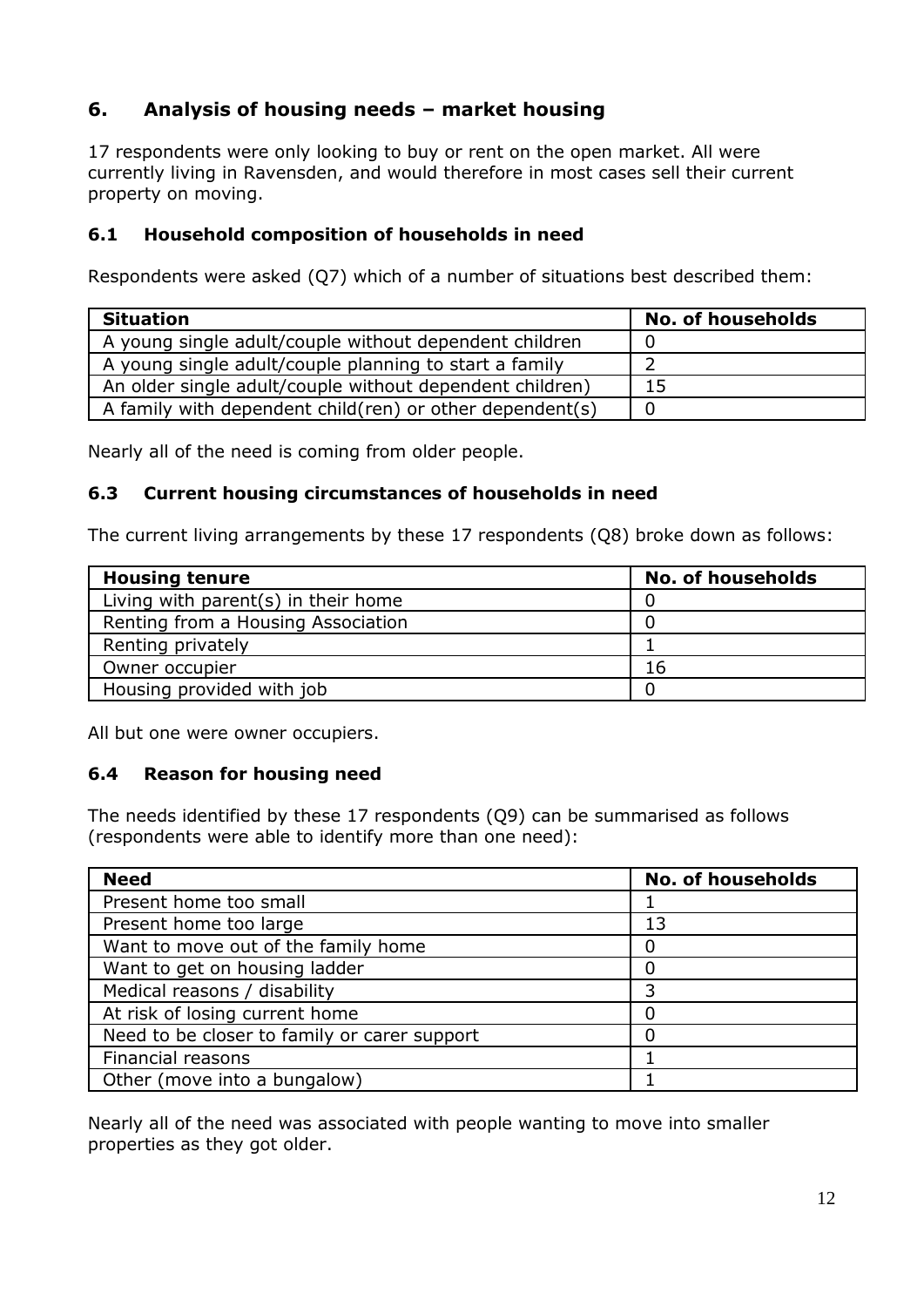# **6. Analysis of housing needs – market housing**

17 respondents were only looking to buy or rent on the open market. All were currently living in Ravensden, and would therefore in most cases sell their current property on moving.

## **6.1 Household composition of households in need**

Respondents were asked (Q7) which of a number of situations best described them:

| <b>Situation</b>                                           | <b>No. of households</b> |
|------------------------------------------------------------|--------------------------|
| A young single adult/couple without dependent children     |                          |
| A young single adult/couple planning to start a family     |                          |
| An older single adult/couple without dependent children)   |                          |
| A family with dependent child (ren) or other dependent (s) |                          |

Nearly all of the need is coming from older people.

## **6.3 Current housing circumstances of households in need**

The current living arrangements by these 17 respondents (Q8) broke down as follows:

| <b>Housing tenure</b>               | <b>No. of households</b> |
|-------------------------------------|--------------------------|
| Living with parent(s) in their home |                          |
| Renting from a Housing Association  |                          |
| Renting privately                   |                          |
| Owner occupier                      | 16                       |
| Housing provided with job           |                          |

All but one were owner occupiers.

## **6.4 Reason for housing need**

The needs identified by these 17 respondents (Q9) can be summarised as follows (respondents were able to identify more than one need):

| <b>Need</b>                                  | <b>No. of households</b> |
|----------------------------------------------|--------------------------|
| Present home too small                       |                          |
| Present home too large                       | 13                       |
| Want to move out of the family home          |                          |
| Want to get on housing ladder                |                          |
| Medical reasons / disability                 | 3                        |
| At risk of losing current home               |                          |
| Need to be closer to family or carer support |                          |
| Financial reasons                            |                          |
| Other (move into a bungalow)                 |                          |

Nearly all of the need was associated with people wanting to move into smaller properties as they got older.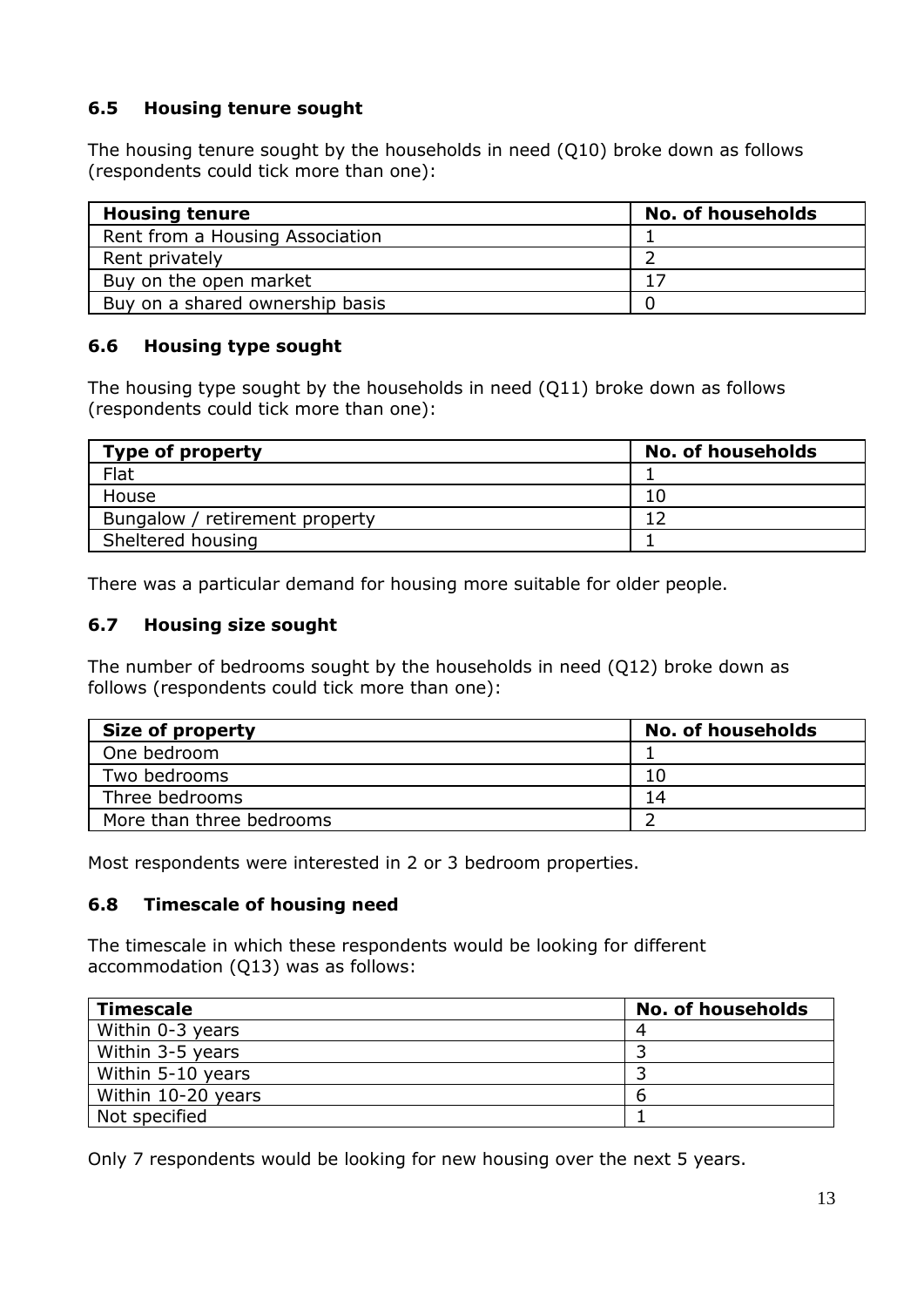## **6.5 Housing tenure sought**

The housing tenure sought by the households in need (Q10) broke down as follows (respondents could tick more than one):

| <b>Housing tenure</b>           | <b>No. of households</b> |
|---------------------------------|--------------------------|
| Rent from a Housing Association |                          |
| Rent privately                  |                          |
| Buy on the open market          | 17                       |
| Buy on a shared ownership basis |                          |

#### **6.6 Housing type sought**

The housing type sought by the households in need (Q11) broke down as follows (respondents could tick more than one):

| <b>Type of property</b>        | <b>No. of households</b> |
|--------------------------------|--------------------------|
| Flat                           |                          |
| <b>House</b>                   |                          |
| Bungalow / retirement property |                          |
| Sheltered housing              |                          |

There was a particular demand for housing more suitable for older people.

## **6.7 Housing size sought**

The number of bedrooms sought by the households in need (Q12) broke down as follows (respondents could tick more than one):

| <b>Size of property</b>  | <b>No. of households</b> |
|--------------------------|--------------------------|
| One bedroom              |                          |
| Two bedrooms             |                          |
| Three bedrooms           | 14                       |
| More than three bedrooms |                          |

Most respondents were interested in 2 or 3 bedroom properties.

#### **6.8 Timescale of housing need**

The timescale in which these respondents would be looking for different accommodation (Q13) was as follows:

| <b>Timescale</b>   | <b>No. of households</b> |
|--------------------|--------------------------|
| Within 0-3 years   |                          |
| Within 3-5 years   |                          |
| Within 5-10 years  |                          |
| Within 10-20 years | n                        |
| Not specified      |                          |

Only 7 respondents would be looking for new housing over the next 5 years.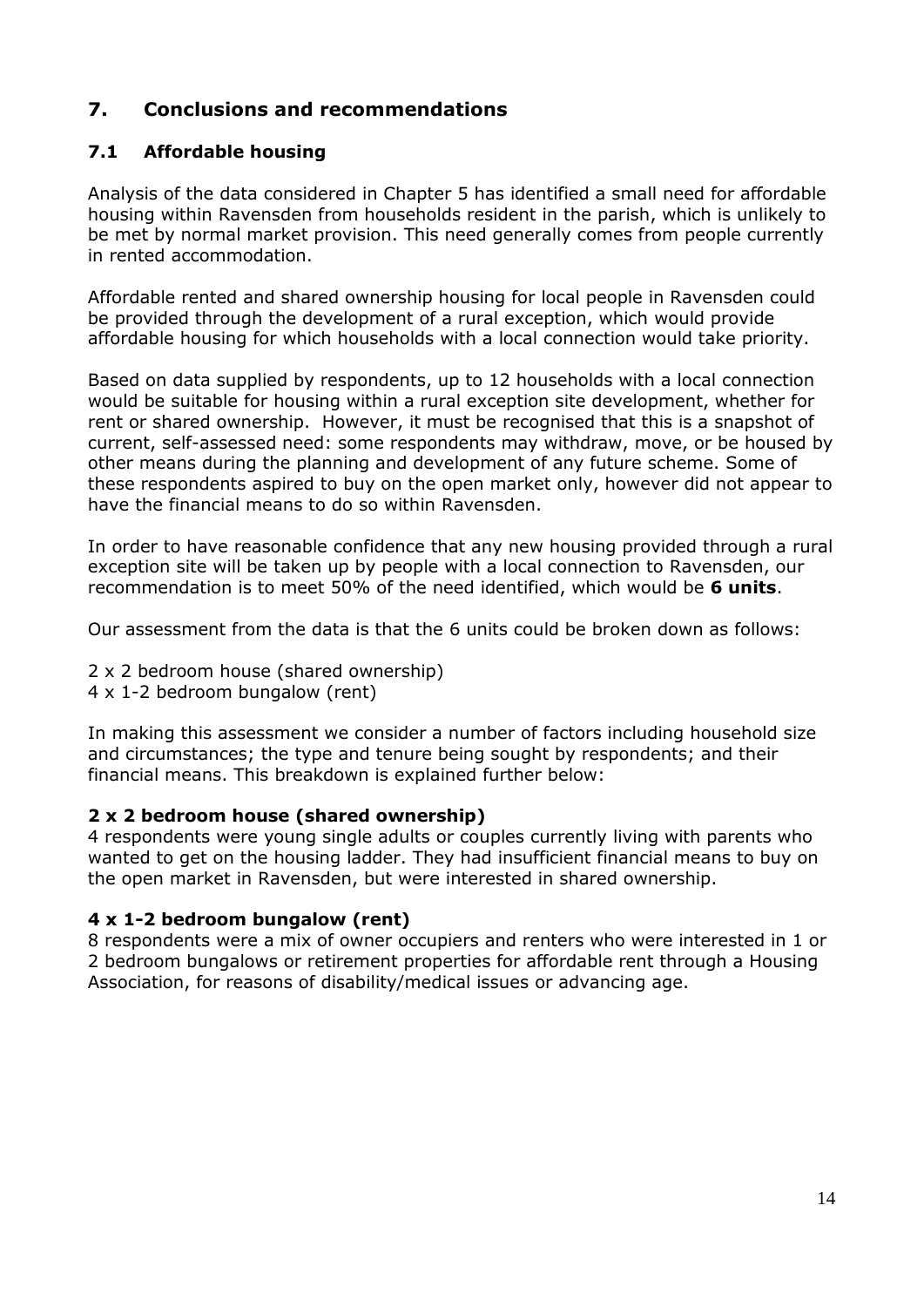# **7. Conclusions and recommendations**

## **7.1 Affordable housing**

Analysis of the data considered in Chapter 5 has identified a small need for affordable housing within Ravensden from households resident in the parish, which is unlikely to be met by normal market provision. This need generally comes from people currently in rented accommodation.

Affordable rented and shared ownership housing for local people in Ravensden could be provided through the development of a rural exception, which would provide affordable housing for which households with a local connection would take priority.

Based on data supplied by respondents, up to 12 households with a local connection would be suitable for housing within a rural exception site development, whether for rent or shared ownership. However, it must be recognised that this is a snapshot of current, self-assessed need: some respondents may withdraw, move, or be housed by other means during the planning and development of any future scheme. Some of these respondents aspired to buy on the open market only, however did not appear to have the financial means to do so within Ravensden.

In order to have reasonable confidence that any new housing provided through a rural exception site will be taken up by people with a local connection to Ravensden, our recommendation is to meet 50% of the need identified, which would be **6 units**.

Our assessment from the data is that the 6 units could be broken down as follows:

- 2 x 2 bedroom house (shared ownership)
- 4 x 1-2 bedroom bungalow (rent)

In making this assessment we consider a number of factors including household size and circumstances; the type and tenure being sought by respondents; and their financial means. This breakdown is explained further below:

#### **2 x 2 bedroom house (shared ownership)**

4 respondents were young single adults or couples currently living with parents who wanted to get on the housing ladder. They had insufficient financial means to buy on the open market in Ravensden, but were interested in shared ownership.

#### **4 x 1-2 bedroom bungalow (rent)**

8 respondents were a mix of owner occupiers and renters who were interested in 1 or 2 bedroom bungalows or retirement properties for affordable rent through a Housing Association, for reasons of disability/medical issues or advancing age.